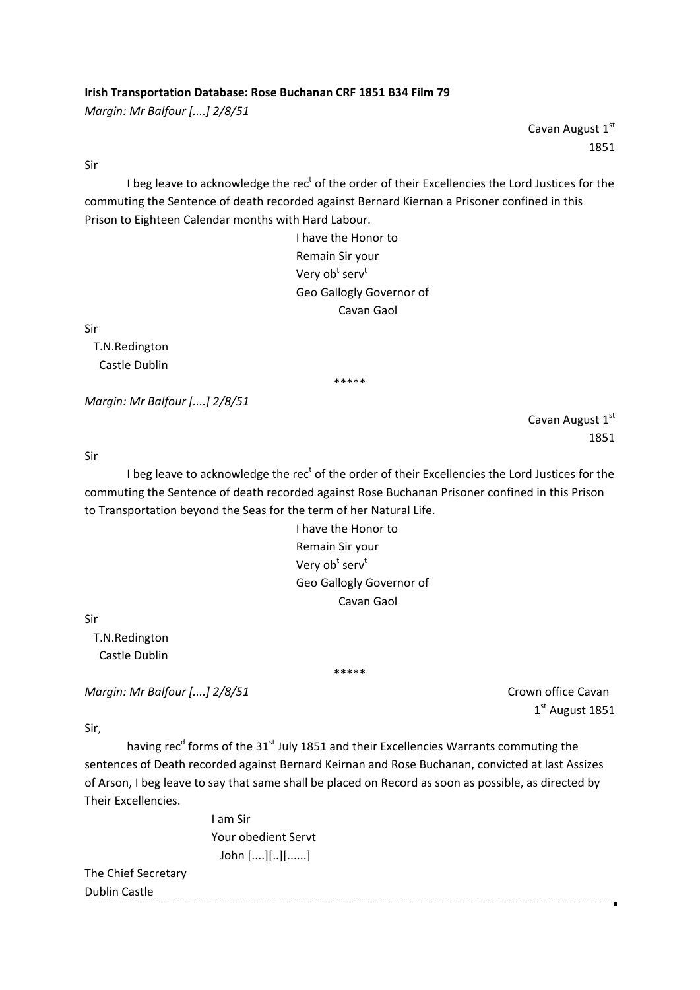## **Irish Transportation Database: Rose Buchanan CRF 1851 B34 Film 79**

*Margin: Mr Balfour [....] 2/8/51*

Cavan August 1st 1851

Cavan August 1st

1851

Sir

I beg leave to acknowledge the rec<sup>t</sup> of the order of their Excellencies the Lord Justices for the commuting the Sentence of death recorded against Bernard Kiernan a Prisoner confined in this Prison to Eighteen Calendar months with Hard Labour.

 I have the Honor to Remain Sir your  $\mathsf{V}$ ery ob $\mathsf{t}^\mathsf{t}$  serv $\mathsf{t}^\mathsf{t}$  Geo Gallogly Governor of Cavan Gaol

Sir

 T.N.Redington Castle Dublin

\*\*\*\*\*

*Margin: Mr Balfour [....] 2/8/51*

Sir

I beg leave to acknowledge the rec<sup>t</sup> of the order of their Excellencies the Lord Justices for the commuting the Sentence of death recorded against Rose Buchanan Prisoner confined in this Prison to Transportation beyond the Seas for the term of her Natural Life.

 I have the Honor to Remain Sir your  $\bm{\mathsf{V}}$ ery ob $\bm{\mathsf{t}}^\text{t}$  serv $\bm{\mathsf{t}}^\text{t}$  Geo Gallogly Governor of Cavan Gaol

Sir

 T.N.Redington Castle Dublin

*Margin: Mr Balfour [....] 2/8/51*  Crown office Cavan

 $1<sup>st</sup>$  August 1851

Sir,

having rec<sup>d</sup> forms of the 31<sup>st</sup> July 1851 and their Excellencies Warrants commuting the sentences of Death recorded against Bernard Keirnan and Rose Buchanan, convicted at last Assizes of Arson, I beg leave to say that same shall be placed on Record as soon as possible, as directed by Their Excellencies.

\*\*\*\*\*

 I am Sir Your obedient Servt John [....][..][......]

The Chief Secretary Dublin Castle